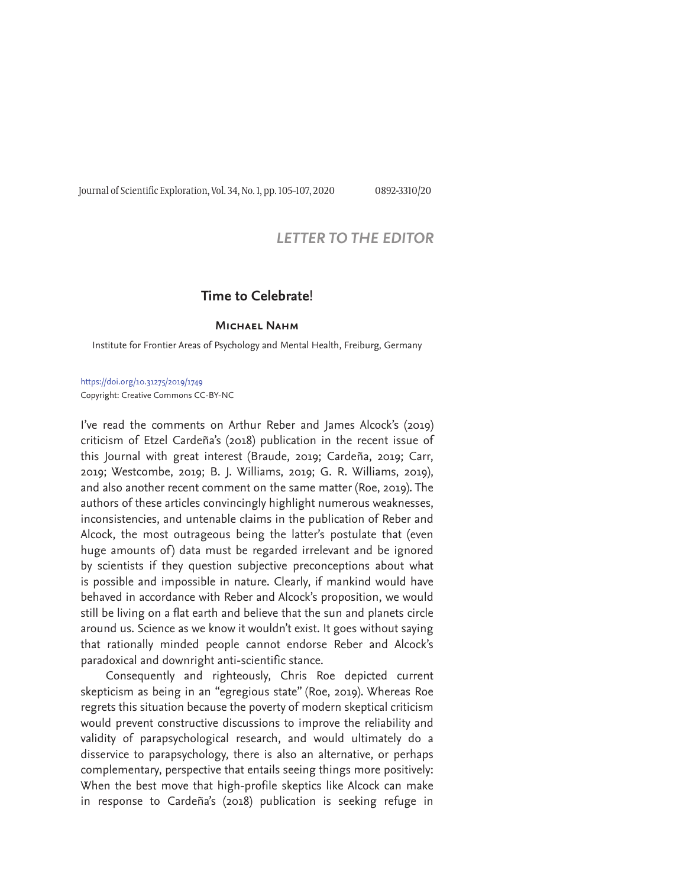Journal of Scientific Exploration, Vol. 34, No. 1, pp. 105-107, 2020 0892-3310/20

## *LETTER TO THE EDITOR*

## **Time to Celebrate**!

## **Michael Nahm**

Institute for Frontier Areas of Psychology and Mental Health, Freiburg, Germany

https://doi.org/10.31275/2019/1749 Copyright: Creative Commons CC-BY-NC

I've read the comments on Arthur Reber and James Alcock's (2019) criticism of Etzel Cardeña's (2018) publication in the recent issue of this Journal with great interest (Braude, 2019; Cardeña, 2019; Carr, 2019; Westcombe, 2019; B. J. Williams, 2019; G. R. Williams, 2019), and also another recent comment on the same matter (Roe, 2019). The authors of these articles convincingly highlight numerous weaknesses, inconsistencies, and untenable claims in the publication of Reber and Alcock, the most outrageous being the latter's postulate that (even huge amounts of) data must be regarded irrelevant and be ignored by scientists if they question subjective preconceptions about what is possible and impossible in nature. Clearly, if mankind would have behaved in accordance with Reber and Alcock's proposition, we would still be living on a flat earth and believe that the sun and planets circle around us. Science as we know it wouldn't exist. It goes without saying that rationally minded people cannot endorse Reber and Alcock's paradoxical and downright anti-scientific stance.

Consequently and righteously, Chris Roe depicted current skepticism as being in an "egregious state" (Roe, 2019). Whereas Roe regrets this situation because the poverty of modern skeptical criticism would prevent constructive discussions to improve the reliability and validity of parapsychological research, and would ultimately do a disservice to parapsychology, there is also an alternative, or perhaps complementary, perspective that entails seeing things more positively: When the best move that high-profile skeptics like Alcock can make in response to Cardeña's (2018) publication is seeking refuge in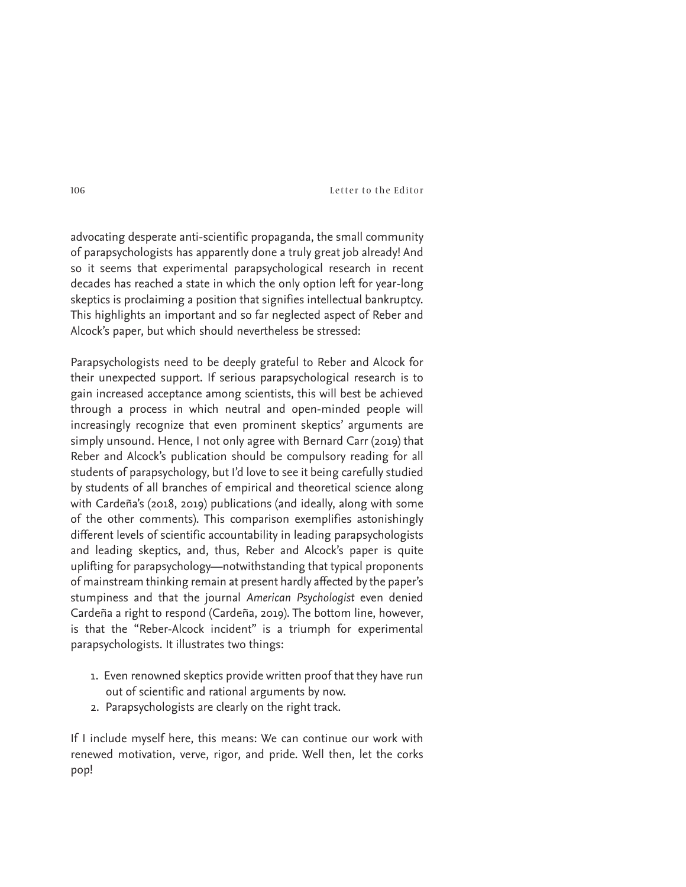106 Letter to the Editor

advocating desperate anti-scientific propaganda, the small community of parapsychologists has apparently done a truly great job already! And so it seems that experimental parapsychological research in recent decades has reached a state in which the only option left for year-long skeptics is proclaiming a position that signifies intellectual bankruptcy. This highlights an important and so far neglected aspect of Reber and Alcock's paper, but which should nevertheless be stressed:

Parapsychologists need to be deeply grateful to Reber and Alcock for their unexpected support. If serious parapsychological research is to gain increased acceptance among scientists, this will best be achieved through a process in which neutral and open-minded people will increasingly recognize that even prominent skeptics' arguments are simply unsound. Hence, I not only agree with Bernard Carr (2019) that Reber and Alcock's publication should be compulsory reading for all students of parapsychology, but I'd love to see it being carefully studied by students of all branches of empirical and theoretical science along with Cardeña's (2018, 2019) publications (and ideally, along with some of the other comments). This comparison exemplifies astonishingly different levels of scientific accountability in leading parapsychologists and leading skeptics, and, thus, Reber and Alcock's paper is quite uplifting for parapsychology—notwithstanding that typical proponents of mainstream thinking remain at present hardly affected by the paper's stumpiness and that the journal *American Psychologist* even denied Cardeña a right to respond (Cardeña, 2019). The bottom line, however, is that the "Reber-Alcock incident" is a triumph for experimental parapsychologists. It illustrates two things:

- 1. Even renowned skeptics provide written proof that they have run out of scientific and rational arguments by now.
- 2. Parapsychologists are clearly on the right track.

If I include myself here, this means: We can continue our work with renewed motivation, verve, rigor, and pride. Well then, let the corks pop!